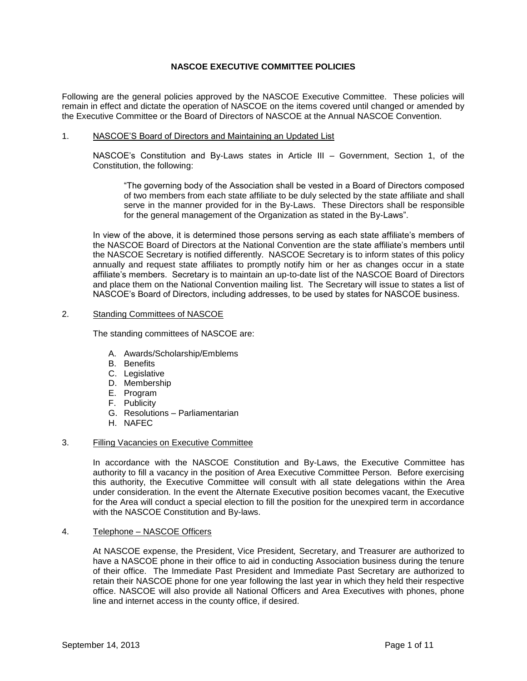# **NASCOE EXECUTIVE COMMITTEE POLICIES**

Following are the general policies approved by the NASCOE Executive Committee. These policies will remain in effect and dictate the operation of NASCOE on the items covered until changed or amended by the Executive Committee or the Board of Directors of NASCOE at the Annual NASCOE Convention.

### 1. NASCOE'S Board of Directors and Maintaining an Updated List

NASCOE's Constitution and By-Laws states in Article III – Government, Section 1, of the Constitution, the following:

"The governing body of the Association shall be vested in a Board of Directors composed of two members from each state affiliate to be duly selected by the state affiliate and shall serve in the manner provided for in the By-Laws. These Directors shall be responsible for the general management of the Organization as stated in the By-Laws".

In view of the above, it is determined those persons serving as each state affiliate's members of the NASCOE Board of Directors at the National Convention are the state affiliate's members until the NASCOE Secretary is notified differently. NASCOE Secretary is to inform states of this policy annually and request state affiliates to promptly notify him or her as changes occur in a state affiliate's members. Secretary is to maintain an up-to-date list of the NASCOE Board of Directors and place them on the National Convention mailing list. The Secretary will issue to states a list of NASCOE's Board of Directors, including addresses, to be used by states for NASCOE business.

### 2. Standing Committees of NASCOE

The standing committees of NASCOE are:

- A. Awards/Scholarship/Emblems
- B. Benefits
- C. Legislative
- D. Membership
- E. Program
- F. Publicity
- G. Resolutions Parliamentarian
- H. NAFEC

# 3. Filling Vacancies on Executive Committee

In accordance with the NASCOE Constitution and By-Laws, the Executive Committee has authority to fill a vacancy in the position of Area Executive Committee Person. Before exercising this authority, the Executive Committee will consult with all state delegations within the Area under consideration. In the event the Alternate Executive position becomes vacant, the Executive for the Area will conduct a special election to fill the position for the unexpired term in accordance with the NASCOE Constitution and By-laws.

# 4. Telephone – NASCOE Officers

At NASCOE expense, the President, Vice President*,* Secretary, and Treasurer are authorized to have a NASCOE phone in their office to aid in conducting Association business during the tenure of their office. The Immediate Past President and Immediate Past Secretary are authorized to retain their NASCOE phone for one year following the last year in which they held their respective office. NASCOE will also provide all National Officers and Area Executives with phones, phone line and internet access in the county office, if desired.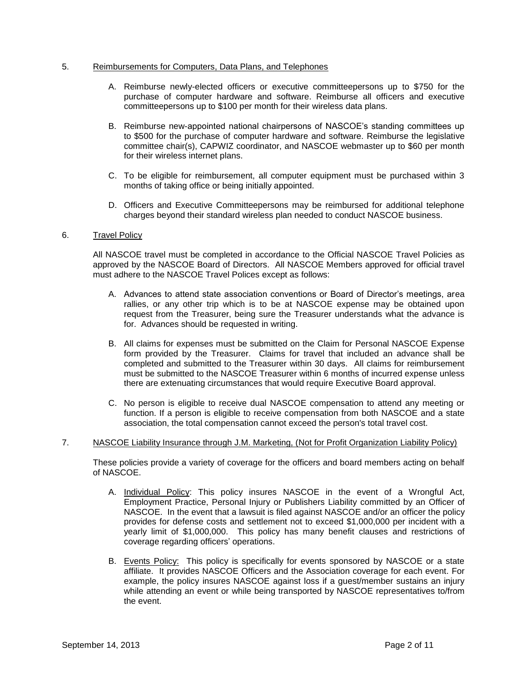# 5. Reimbursements for Computers, Data Plans, and Telephones

- A. Reimburse newly-elected officers or executive committeepersons up to \$750 for the purchase of computer hardware and software. Reimburse all officers and executive committeepersons up to \$100 per month for their wireless data plans.
- B. Reimburse new-appointed national chairpersons of NASCOE's standing committees up to \$500 for the purchase of computer hardware and software. Reimburse the legislative committee chair(s), CAPWIZ coordinator, and NASCOE webmaster up to \$60 per month for their wireless internet plans.
- C. To be eligible for reimbursement, all computer equipment must be purchased within 3 months of taking office or being initially appointed.
- D. Officers and Executive Committeepersons may be reimbursed for additional telephone charges beyond their standard wireless plan needed to conduct NASCOE business.

# 6. Travel Policy

All NASCOE travel must be completed in accordance to the Official NASCOE Travel Policies as approved by the NASCOE Board of Directors. All NASCOE Members approved for official travel must adhere to the NASCOE Travel Polices except as follows:

- A. Advances to attend state association conventions or Board of Director's meetings, area rallies, or any other trip which is to be at NASCOE expense may be obtained upon request from the Treasurer, being sure the Treasurer understands what the advance is for. Advances should be requested in writing.
- B. All claims for expenses must be submitted on the Claim for Personal NASCOE Expense form provided by the Treasurer. Claims for travel that included an advance shall be completed and submitted to the Treasurer within 30 days. All claims for reimbursement must be submitted to the NASCOE Treasurer within 6 months of incurred expense unless there are extenuating circumstances that would require Executive Board approval.
- C. No person is eligible to receive dual NASCOE compensation to attend any meeting or function. If a person is eligible to receive compensation from both NASCOE and a state association, the total compensation cannot exceed the person's total travel cost.

# 7. NASCOE Liability Insurance through J.M. Marketing, (Not for Profit Organization Liability Policy)

These policies provide a variety of coverage for the officers and board members acting on behalf of NASCOE.

- A. Individual Policy: This policy insures NASCOE in the event of a Wrongful Act, Employment Practice, Personal Injury or Publishers Liability committed by an Officer of NASCOE. In the event that a lawsuit is filed against NASCOE and/or an officer the policy provides for defense costs and settlement not to exceed \$1,000,000 per incident with a yearly limit of \$1,000,000. This policy has many benefit clauses and restrictions of coverage regarding officers' operations.
- B. Events Policy: This policy is specifically for events sponsored by NASCOE or a state affiliate. It provides NASCOE Officers and the Association coverage for each event. For example, the policy insures NASCOE against loss if a guest/member sustains an injury while attending an event or while being transported by NASCOE representatives to/from the event.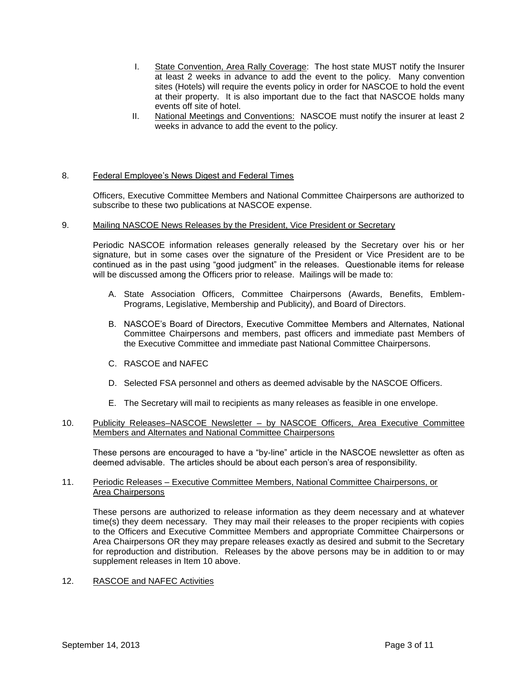- I. State Convention, Area Rally Coverage: The host state MUST notify the Insurer at least 2 weeks in advance to add the event to the policy. Many convention sites (Hotels) will require the events policy in order for NASCOE to hold the event at their property. It is also important due to the fact that NASCOE holds many events off site of hotel.
- II. National Meetings and Conventions: NASCOE must notify the insurer at least 2 weeks in advance to add the event to the policy.

# 8. Federal Employee's News Digest and Federal Times

Officers, Executive Committee Members and National Committee Chairpersons are authorized to subscribe to these two publications at NASCOE expense.

#### 9. Mailing NASCOE News Releases by the President, Vice President or Secretary

Periodic NASCOE information releases generally released by the Secretary over his or her signature, but in some cases over the signature of the President or Vice President are to be continued as in the past using "good judgment" in the releases. Questionable items for release will be discussed among the Officers prior to release. Mailings will be made to:

- A. State Association Officers, Committee Chairpersons (Awards, Benefits, Emblem-Programs, Legislative, Membership and Publicity), and Board of Directors.
- B. NASCOE's Board of Directors, Executive Committee Members and Alternates, National Committee Chairpersons and members, past officers and immediate past Members of the Executive Committee and immediate past National Committee Chairpersons.
- C. RASCOE and NAFEC
- D. Selected FSA personnel and others as deemed advisable by the NASCOE Officers.
- E. The Secretary will mail to recipients as many releases as feasible in one envelope.

# 10. Publicity Releases–NASCOE Newsletter – by NASCOE Officers, Area Executive Committee Members and Alternates and National Committee Chairpersons

These persons are encouraged to have a "by-line" article in the NASCOE newsletter as often as deemed advisable. The articles should be about each person's area of responsibility.

# 11. Periodic Releases – Executive Committee Members, National Committee Chairpersons, or Area Chairpersons

These persons are authorized to release information as they deem necessary and at whatever time(s) they deem necessary. They may mail their releases to the proper recipients with copies to the Officers and Executive Committee Members and appropriate Committee Chairpersons or Area Chairpersons OR they may prepare releases exactly as desired and submit to the Secretary for reproduction and distribution. Releases by the above persons may be in addition to or may supplement releases in Item 10 above.

# 12. RASCOE and NAFEC Activities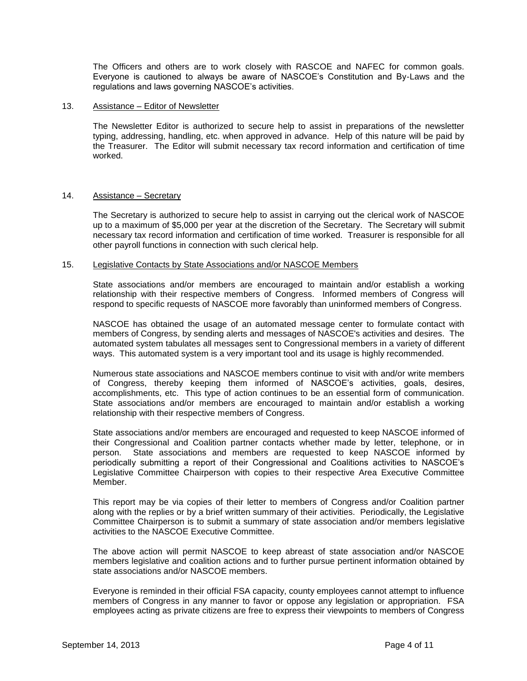The Officers and others are to work closely with RASCOE and NAFEC for common goals. Everyone is cautioned to always be aware of NASCOE's Constitution and By-Laws and the regulations and laws governing NASCOE's activities.

### 13. Assistance – Editor of Newsletter

The Newsletter Editor is authorized to secure help to assist in preparations of the newsletter typing, addressing, handling, etc. when approved in advance. Help of this nature will be paid by the Treasurer. The Editor will submit necessary tax record information and certification of time worked.

### 14. Assistance – Secretary

The Secretary is authorized to secure help to assist in carrying out the clerical work of NASCOE up to a maximum of \$5,000 per year at the discretion of the Secretary. The Secretary will submit necessary tax record information and certification of time worked. Treasurer is responsible for all other payroll functions in connection with such clerical help.

# 15. Legislative Contacts by State Associations and/or NASCOE Members

State associations and/or members are encouraged to maintain and/or establish a working relationship with their respective members of Congress. Informed members of Congress will respond to specific requests of NASCOE more favorably than uninformed members of Congress.

NASCOE has obtained the usage of an automated message center to formulate contact with members of Congress, by sending alerts and messages of NASCOE's activities and desires. The automated system tabulates all messages sent to Congressional members in a variety of different ways. This automated system is a very important tool and its usage is highly recommended.

Numerous state associations and NASCOE members continue to visit with and/or write members of Congress, thereby keeping them informed of NASCOE's activities, goals, desires, accomplishments, etc. This type of action continues to be an essential form of communication. State associations and/or members are encouraged to maintain and/or establish a working relationship with their respective members of Congress.

State associations and/or members are encouraged and requested to keep NASCOE informed of their Congressional and Coalition partner contacts whether made by letter, telephone, or in person. State associations and members are requested to keep NASCOE informed by periodically submitting a report of their Congressional and Coalitions activities to NASCOE's Legislative Committee Chairperson with copies to their respective Area Executive Committee Member.

This report may be via copies of their letter to members of Congress and/or Coalition partner along with the replies or by a brief written summary of their activities. Periodically, the Legislative Committee Chairperson is to submit a summary of state association and/or members legislative activities to the NASCOE Executive Committee.

The above action will permit NASCOE to keep abreast of state association and/or NASCOE members legislative and coalition actions and to further pursue pertinent information obtained by state associations and/or NASCOE members.

Everyone is reminded in their official FSA capacity, county employees cannot attempt to influence members of Congress in any manner to favor or oppose any legislation or appropriation. FSA employees acting as private citizens are free to express their viewpoints to members of Congress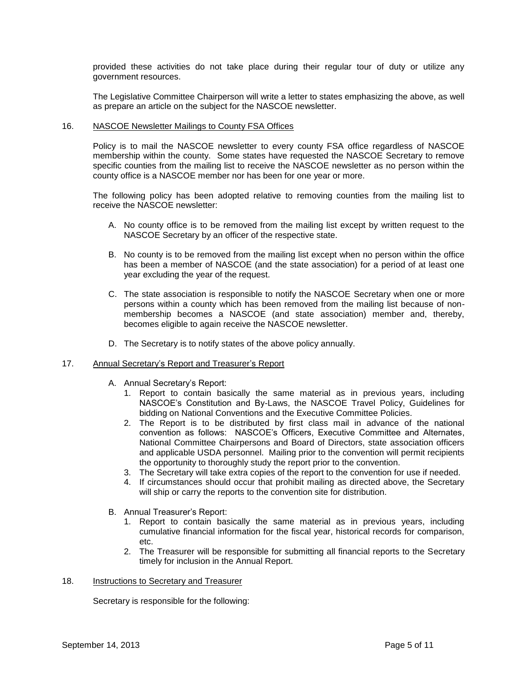provided these activities do not take place during their regular tour of duty or utilize any government resources.

The Legislative Committee Chairperson will write a letter to states emphasizing the above, as well as prepare an article on the subject for the NASCOE newsletter.

### 16. NASCOE Newsletter Mailings to County FSA Offices

Policy is to mail the NASCOE newsletter to every county FSA office regardless of NASCOE membership within the county. Some states have requested the NASCOE Secretary to remove specific counties from the mailing list to receive the NASCOE newsletter as no person within the county office is a NASCOE member nor has been for one year or more.

The following policy has been adopted relative to removing counties from the mailing list to receive the NASCOE newsletter:

- A. No county office is to be removed from the mailing list except by written request to the NASCOE Secretary by an officer of the respective state.
- B. No county is to be removed from the mailing list except when no person within the office has been a member of NASCOE (and the state association) for a period of at least one year excluding the year of the request.
- C. The state association is responsible to notify the NASCOE Secretary when one or more persons within a county which has been removed from the mailing list because of nonmembership becomes a NASCOE (and state association) member and, thereby, becomes eligible to again receive the NASCOE newsletter.
- D. The Secretary is to notify states of the above policy annually.

#### 17. Annual Secretary's Report and Treasurer's Report

- A. Annual Secretary's Report:
	- 1. Report to contain basically the same material as in previous years, including NASCOE's Constitution and By-Laws, the NASCOE Travel Policy, Guidelines for bidding on National Conventions and the Executive Committee Policies.
	- 2. The Report is to be distributed by first class mail in advance of the national convention as follows: NASCOE's Officers, Executive Committee and Alternates, National Committee Chairpersons and Board of Directors, state association officers and applicable USDA personnel. Mailing prior to the convention will permit recipients the opportunity to thoroughly study the report prior to the convention.
	- 3. The Secretary will take extra copies of the report to the convention for use if needed.
	- 4. If circumstances should occur that prohibit mailing as directed above, the Secretary will ship or carry the reports to the convention site for distribution.
- B. Annual Treasurer's Report:
	- 1. Report to contain basically the same material as in previous years, including cumulative financial information for the fiscal year, historical records for comparison, etc.
	- 2. The Treasurer will be responsible for submitting all financial reports to the Secretary timely for inclusion in the Annual Report.

#### 18. Instructions to Secretary and Treasurer

Secretary is responsible for the following: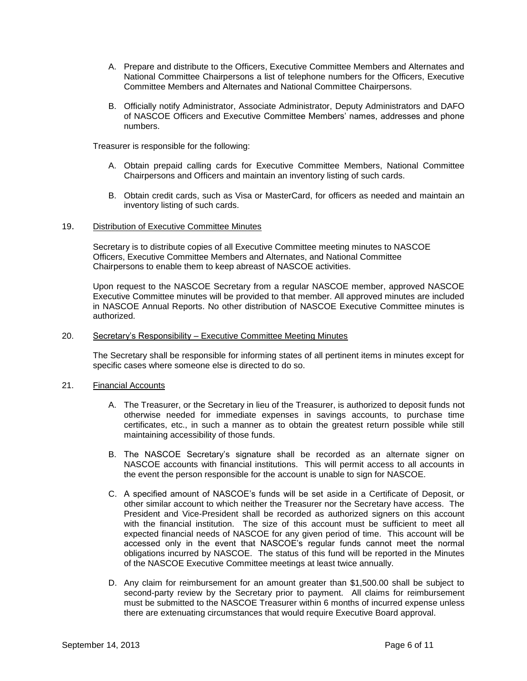- A. Prepare and distribute to the Officers, Executive Committee Members and Alternates and National Committee Chairpersons a list of telephone numbers for the Officers, Executive Committee Members and Alternates and National Committee Chairpersons.
- B. Officially notify Administrator, Associate Administrator, Deputy Administrators and DAFO of NASCOE Officers and Executive Committee Members' names, addresses and phone numbers.

Treasurer is responsible for the following:

- A. Obtain prepaid calling cards for Executive Committee Members, National Committee Chairpersons and Officers and maintain an inventory listing of such cards.
- B. Obtain credit cards, such as Visa or MasterCard, for officers as needed and maintain an inventory listing of such cards.

# 19. Distribution of Executive Committee Minutes

Secretary is to distribute copies of all Executive Committee meeting minutes to NASCOE Officers, Executive Committee Members and Alternates, and National Committee Chairpersons to enable them to keep abreast of NASCOE activities.

Upon request to the NASCOE Secretary from a regular NASCOE member, approved NASCOE Executive Committee minutes will be provided to that member. All approved minutes are included in NASCOE Annual Reports. No other distribution of NASCOE Executive Committee minutes is authorized.

#### 20. Secretary's Responsibility – Executive Committee Meeting Minutes

The Secretary shall be responsible for informing states of all pertinent items in minutes except for specific cases where someone else is directed to do so.

#### 21. Financial Accounts

- A. The Treasurer, or the Secretary in lieu of the Treasurer, is authorized to deposit funds not otherwise needed for immediate expenses in savings accounts, to purchase time certificates, etc., in such a manner as to obtain the greatest return possible while still maintaining accessibility of those funds.
- B. The NASCOE Secretary's signature shall be recorded as an alternate signer on NASCOE accounts with financial institutions. This will permit access to all accounts in the event the person responsible for the account is unable to sign for NASCOE.
- C. A specified amount of NASCOE's funds will be set aside in a Certificate of Deposit, or other similar account to which neither the Treasurer nor the Secretary have access. The President and Vice-President shall be recorded as authorized signers on this account with the financial institution. The size of this account must be sufficient to meet all expected financial needs of NASCOE for any given period of time. This account will be accessed only in the event that NASCOE's regular funds cannot meet the normal obligations incurred by NASCOE. The status of this fund will be reported in the Minutes of the NASCOE Executive Committee meetings at least twice annually.
- D. Any claim for reimbursement for an amount greater than \$1,500.00 shall be subject to second-party review by the Secretary prior to payment. All claims for reimbursement must be submitted to the NASCOE Treasurer within 6 months of incurred expense unless there are extenuating circumstances that would require Executive Board approval.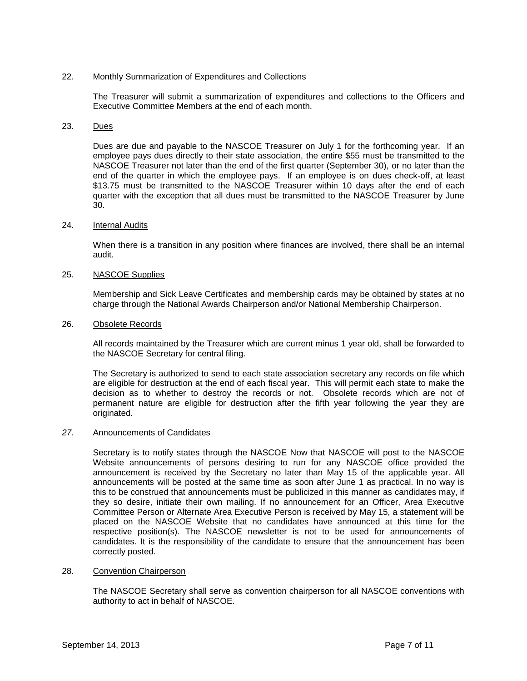# 22. Monthly Summarization of Expenditures and Collections

The Treasurer will submit a summarization of expenditures and collections to the Officers and Executive Committee Members at the end of each month.

# 23. Dues

Dues are due and payable to the NASCOE Treasurer on July 1 for the forthcoming year. If an employee pays dues directly to their state association, the entire \$55 must be transmitted to the NASCOE Treasurer not later than the end of the first quarter (September 30), or no later than the end of the quarter in which the employee pays. If an employee is on dues check-off, at least \$13.75 must be transmitted to the NASCOE Treasurer within 10 days after the end of each quarter with the exception that all dues must be transmitted to the NASCOE Treasurer by June 30.

### 24. Internal Audits

When there is a transition in any position where finances are involved, there shall be an internal audit.

### 25. NASCOE Supplies

Membership and Sick Leave Certificates and membership cards may be obtained by states at no charge through the National Awards Chairperson and/or National Membership Chairperson.

### 26. Obsolete Records

All records maintained by the Treasurer which are current minus 1 year old, shall be forwarded to the NASCOE Secretary for central filing.

The Secretary is authorized to send to each state association secretary any records on file which are eligible for destruction at the end of each fiscal year. This will permit each state to make the decision as to whether to destroy the records or not. Obsolete records which are not of permanent nature are eligible for destruction after the fifth year following the year they are originated.

#### *27.* Announcements of Candidates

Secretary is to notify states through the NASCOE Now that NASCOE will post to the NASCOE Website announcements of persons desiring to run for any NASCOE office provided the announcement is received by the Secretary no later than May 15 of the applicable year. All announcements will be posted at the same time as soon after June 1 as practical. In no way is this to be construed that announcements must be publicized in this manner as candidates may, if they so desire, initiate their own mailing. If no announcement for an Officer, Area Executive Committee Person or Alternate Area Executive Person is received by May 15, a statement will be placed on the NASCOE Website that no candidates have announced at this time for the respective position(s). The NASCOE newsletter is not to be used for announcements of candidates. It is the responsibility of the candidate to ensure that the announcement has been correctly posted.

#### 28. Convention Chairperson

The NASCOE Secretary shall serve as convention chairperson for all NASCOE conventions with authority to act in behalf of NASCOE.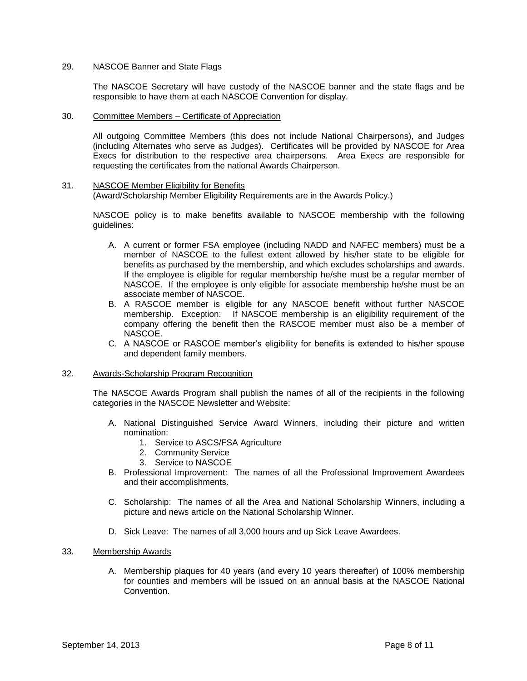# 29. NASCOE Banner and State Flags

The NASCOE Secretary will have custody of the NASCOE banner and the state flags and be responsible to have them at each NASCOE Convention for display.

30. Committee Members – Certificate of Appreciation

All outgoing Committee Members (this does not include National Chairpersons), and Judges (including Alternates who serve as Judges). Certificates will be provided by NASCOE for Area Execs for distribution to the respective area chairpersons. Area Execs are responsible for requesting the certificates from the national Awards Chairperson.

# 31. NASCOE Member Eligibility for Benefits

(Award/Scholarship Member Eligibility Requirements are in the Awards Policy.)

NASCOE policy is to make benefits available to NASCOE membership with the following guidelines:

- A. A current or former FSA employee (including NADD and NAFEC members) must be a member of NASCOE to the fullest extent allowed by his/her state to be eligible for benefits as purchased by the membership, and which excludes scholarships and awards. If the employee is eligible for regular membership he/she must be a regular member of NASCOE. If the employee is only eligible for associate membership he/she must be an associate member of NASCOE.
- B. A RASCOE member is eligible for any NASCOE benefit without further NASCOE membership. Exception: If NASCOE membership is an eligibility requirement of the company offering the benefit then the RASCOE member must also be a member of NASCOE.
- C. A NASCOE or RASCOE member's eligibility for benefits is extended to his/her spouse and dependent family members.

# 32. Awards-Scholarship Program Recognition

The NASCOE Awards Program shall publish the names of all of the recipients in the following categories in the NASCOE Newsletter and Website:

- A. National Distinguished Service Award Winners, including their picture and written nomination:
	- 1. Service to ASCS/FSA Agriculture
	- 2. Community Service
	- 3. Service to NASCOE
- B. Professional Improvement: The names of all the Professional Improvement Awardees and their accomplishments.
- C. Scholarship: The names of all the Area and National Scholarship Winners, including a picture and news article on the National Scholarship Winner.
- D. Sick Leave: The names of all 3,000 hours and up Sick Leave Awardees.

#### 33. Membership Awards

A. Membership plaques for 40 years (and every 10 years thereafter) of 100% membership for counties and members will be issued on an annual basis at the NASCOE National Convention.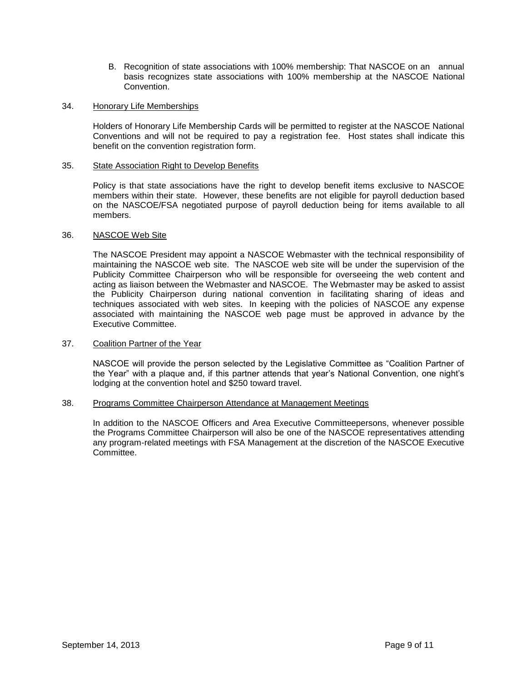B. Recognition of state associations with 100% membership: That NASCOE on an annual basis recognizes state associations with 100% membership at the NASCOE National Convention.

### 34. Honorary Life Memberships

Holders of Honorary Life Membership Cards will be permitted to register at the NASCOE National Conventions and will not be required to pay a registration fee. Host states shall indicate this benefit on the convention registration form.

### 35. State Association Right to Develop Benefits

Policy is that state associations have the right to develop benefit items exclusive to NASCOE members within their state. However, these benefits are not eligible for payroll deduction based on the NASCOE/FSA negotiated purpose of payroll deduction being for items available to all members.

### 36. NASCOE Web Site

The NASCOE President may appoint a NASCOE Webmaster with the technical responsibility of maintaining the NASCOE web site. The NASCOE web site will be under the supervision of the Publicity Committee Chairperson who will be responsible for overseeing the web content and acting as liaison between the Webmaster and NASCOE. The Webmaster may be asked to assist the Publicity Chairperson during national convention in facilitating sharing of ideas and techniques associated with web sites. In keeping with the policies of NASCOE any expense associated with maintaining the NASCOE web page must be approved in advance by the Executive Committee.

#### 37. Coalition Partner of the Year

NASCOE will provide the person selected by the Legislative Committee as "Coalition Partner of the Year" with a plaque and, if this partner attends that year's National Convention, one night's lodging at the convention hotel and \$250 toward travel.

#### 38. Programs Committee Chairperson Attendance at Management Meetings

In addition to the NASCOE Officers and Area Executive Committeepersons, whenever possible the Programs Committee Chairperson will also be one of the NASCOE representatives attending any program-related meetings with FSA Management at the discretion of the NASCOE Executive **Committee.**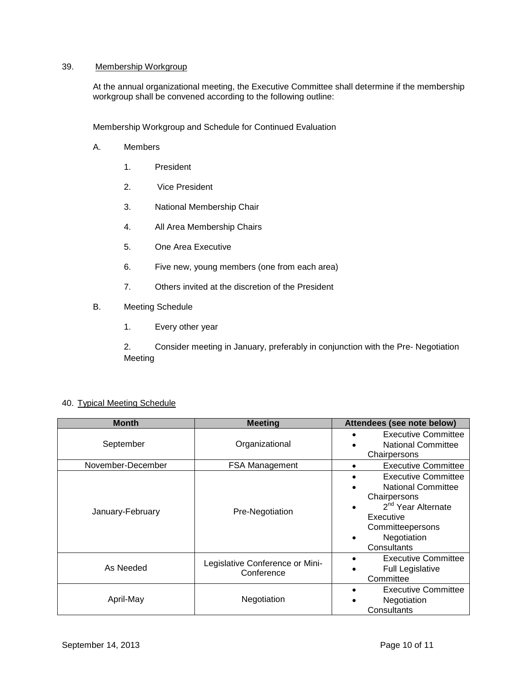# 39. Membership Workgroup

At the annual organizational meeting, the Executive Committee shall determine if the membership workgroup shall be convened according to the following outline:

Membership Workgroup and Schedule for Continued Evaluation

- A. Members
	- 1. President
	- 2. Vice President
	- 3. National Membership Chair
	- 4. All Area Membership Chairs
	- 5. One Area Executive
	- 6. Five new, young members (one from each area)
	- 7. Others invited at the discretion of the President
- B. Meeting Schedule
	- 1. Every other year

2. Consider meeting in January, preferably in conjunction with the Pre- Negotiation Meeting

| <b>Month</b>      | <b>Meeting</b>                                | Attendees (see note below)                                                                                                                                                                              |
|-------------------|-----------------------------------------------|---------------------------------------------------------------------------------------------------------------------------------------------------------------------------------------------------------|
| September         | Organizational                                | <b>Executive Committee</b><br><b>National Committee</b><br>$\bullet$<br>Chairpersons                                                                                                                    |
| November-December | <b>FSA Management</b>                         | <b>Executive Committee</b><br>$\bullet$                                                                                                                                                                 |
| January-February  | Pre-Negotiation                               | <b>Executive Committee</b><br>$\bullet$<br><b>National Committee</b><br>$\bullet$<br>Chairpersons<br>2 <sup>nd</sup> Year Alternate<br>٠<br>Executive<br>Committeepersons<br>Negotiation<br>Consultants |
| As Needed         | Legislative Conference or Mini-<br>Conference | <b>Executive Committee</b><br><b>Full Legislative</b><br>Committee                                                                                                                                      |
| April-May         | Negotiation                                   | <b>Executive Committee</b><br>$\bullet$<br>Negotiation<br>Consultants                                                                                                                                   |

# 40. Typical Meeting Schedule